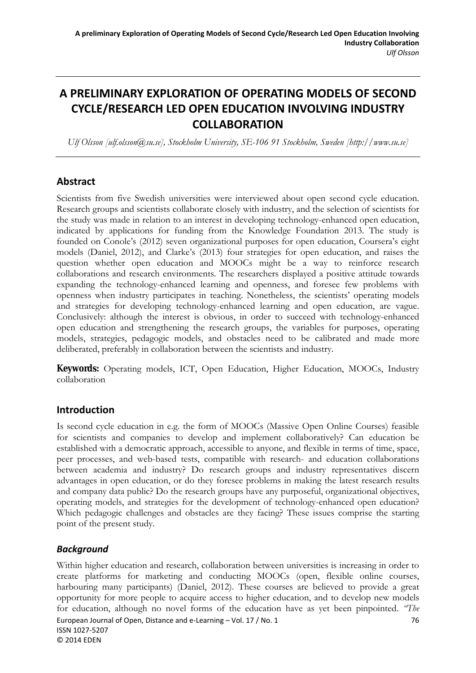# **A PRELIMINARY EXPLORATION OF OPERATING MODELS OF SECOND CYCLE/RESEARCH LED OPEN EDUCATION INVOLVING INDUSTRY COLLABORATION**

*Ulf Olsson [ulf.olsson@su.se], Stockholm University, SE-106 91 Stockholm, Sweden [http://www.su.se]* 

### **Abstract**

Scientists from five Swedish universities were interviewed about open second cycle education. Research groups and scientists collaborate closely with industry, and the selection of scientists for the study was made in relation to an interest in developing technology-enhanced open education, indicated by applications for funding from the Knowledge Foundation 2013. The study is founded on Conole's (2012) seven organizational purposes for open education, Coursera's eight models (Daniel, 2012), and Clarke's (2013) four strategies for open education, and raises the question whether open education and MOOCs might be a way to reinforce research collaborations and research environments. The researchers displayed a positive attitude towards expanding the technology-enhanced learning and openness, and foresee few problems with openness when industry participates in teaching. Nonetheless, the scientists' operating models and strategies for developing technology-enhanced learning and open education, are vague. Conclusively: although the interest is obvious, in order to succeed with technology-enhanced open education and strengthening the research groups, the variables for purposes, operating models, strategies, pedagogic models, and obstacles need to be calibrated and made more deliberated, preferably in collaboration between the scientists and industry.

**Keywords:** Operating models, ICT, Open Education, Higher Education, MOOCs, Industry collaboration

# **Introduction**

Is second cycle education in e.g. the form of MOOCs (Massive Open Online Courses) feasible for scientists and companies to develop and implement collaboratively? Can education be established with a democratic approach, accessible to anyone, and flexible in terms of time, space, peer processes, and web-based tests, compatible with research- and education collaborations between academia and industry? Do research groups and industry representatives discern advantages in open education, or do they foresee problems in making the latest research results and company data public? Do the research groups have any purposeful, organizational objectives, operating models, and strategies for the development of technology-enhanced open education? Which pedagogic challenges and obstacles are they facing? These issues comprise the starting point of the present study.

### *Background*

European Journal of Open, Distance and e-Learning – Vol. 17 / No. 1 76 ISSN 1027‐5207 © 2014 EDEN Within higher education and research, collaboration between universities is increasing in order to create platforms for marketing and conducting MOOCs (open, flexible online courses, harbouring many participants) (Daniel, 2012). These courses are believed to provide a great opportunity for more people to acquire access to higher education, and to develop new models for education, although no novel forms of the education have as yet been pinpointed. *"The*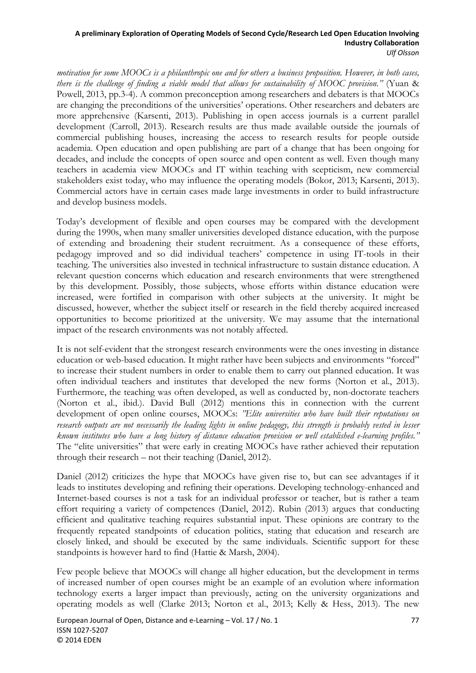*motivation for some MOOCs is a philanthropic one and for others a business proposition. However, in both cases, there is the challenge of finding a viable model that allows for sustainability of MOOC provision."* (Yuan & Powell, 2013, pp.3-4). A common preconception among researchers and debaters is that MOOCs are changing the preconditions of the universities' operations. Other researchers and debaters are more apprehensive (Karsenti, 2013). Publishing in open access journals is a current parallel development (Carroll, 2013). Research results are thus made available outside the journals of commercial publishing houses, increasing the access to research results for people outside academia. Open education and open publishing are part of a change that has been ongoing for decades, and include the concepts of open source and open content as well. Even though many teachers in academia view MOOCs and IT within teaching with scepticism, new commercial stakeholders exist today, who may influence the operating models (Bokor, 2013; Karsenti, 2013). Commercial actors have in certain cases made large investments in order to build infrastructure and develop business models.

Today's development of flexible and open courses may be compared with the development during the 1990s, when many smaller universities developed distance education, with the purpose of extending and broadening their student recruitment. As a consequence of these efforts, pedagogy improved and so did individual teachers' competence in using IT-tools in their teaching. The universities also invested in technical infrastructure to sustain distance education. A relevant question concerns which education and research environments that were strengthened by this development. Possibly, those subjects, whose efforts within distance education were increased, were fortified in comparison with other subjects at the university. It might be discussed, however, whether the subject itself or research in the field thereby acquired increased opportunities to become prioritized at the university. We may assume that the international impact of the research environments was not notably affected.

It is not self-evident that the strongest research environments were the ones investing in distance education or web-based education. It might rather have been subjects and environments "forced" to increase their student numbers in order to enable them to carry out planned education. It was often individual teachers and institutes that developed the new forms (Norton et al., 2013). Furthermore, the teaching was often developed, as well as conducted by, non-doctorate teachers (Norton et al., ibid.). David Bull (2012) mentions this in connection with the current development of open online courses, MOOCs: *"Elite universities who have built their reputations on research outputs are not necessarily the leading lights in online pedagogy, this strength is probably vested in lesser known institutes who have a long history of distance education provision or well established e-learning profiles."* The "elite universities" that were early in creating MOOCs have rather achieved their reputation through their research – not their teaching (Daniel, 2012).

Daniel (2012) criticizes the hype that MOOCs have given rise to, but can see advantages if it leads to institutes developing and refining their operations. Developing technology-enhanced and Internet-based courses is not a task for an individual professor or teacher, but is rather a team effort requiring a variety of competences (Daniel, 2012). Rubin (2013) argues that conducting efficient and qualitative teaching requires substantial input. These opinions are contrary to the frequently repeated standpoints of education politics, stating that education and research are closely linked, and should be executed by the same individuals. Scientific support for these standpoints is however hard to find (Hattie & Marsh, 2004).

Few people believe that MOOCs will change all higher education, but the development in terms of increased number of open courses might be an example of an evolution where information technology exerts a larger impact than previously, acting on the university organizations and operating models as well (Clarke 2013; Norton et al., 2013; Kelly & Hess, 2013). The new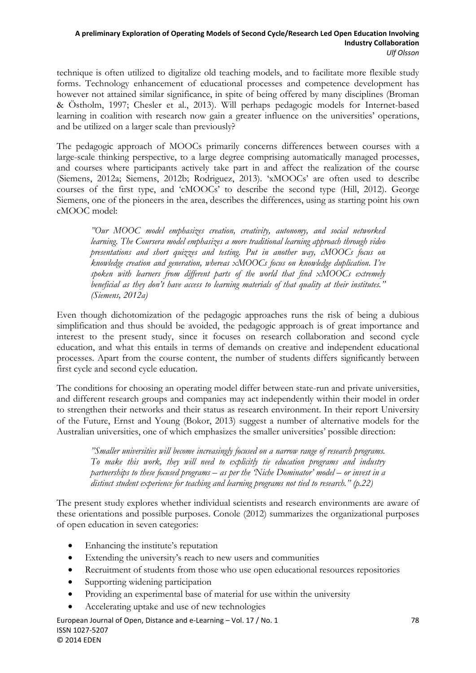technique is often utilized to digitalize old teaching models, and to facilitate more flexible study forms. Technology enhancement of educational processes and competence development has however not attained similar significance, in spite of being offered by many disciplines (Broman & Östholm, 1997; Chesler et al., 2013). Will perhaps pedagogic models for Internet-based learning in coalition with research now gain a greater influence on the universities' operations, and be utilized on a larger scale than previously?

The pedagogic approach of MOOCs primarily concerns differences between courses with a large-scale thinking perspective, to a large degree comprising automatically managed processes, and courses where participants actively take part in and affect the realization of the course (Siemens, 2012a; Siemens, 2012b; Rodriguez, 2013). 'xMOOCs' are often used to describe courses of the first type, and 'cMOOCs' to describe the second type (Hill, 2012). George Siemens, one of the pioneers in the area, describes the differences, using as starting point his own cMOOC model:

*"Our MOOC model emphasizes creation, creativity, autonomy, and social networked learning. The Coursera model emphasizes a more traditional learning approach through video presentations and short quizzes and testing. Put in another way, cMOOCs focus on knowledge creation and generation, whereas xMOOCs focus on knowledge duplication. I've spoken with learners from different parts of the world that find xMOOCs extremely beneficial as they don't have access to learning materials of that quality at their institutes." (Siemens, 2012a)* 

Even though dichotomization of the pedagogic approaches runs the risk of being a dubious simplification and thus should be avoided, the pedagogic approach is of great importance and interest to the present study, since it focuses on research collaboration and second cycle education, and what this entails in terms of demands on creative and independent educational processes. Apart from the course content, the number of students differs significantly between first cycle and second cycle education.

The conditions for choosing an operating model differ between state-run and private universities, and different research groups and companies may act independently within their model in order to strengthen their networks and their status as research environment. In their report University of the Future, Ernst and Young (Bokor, 2013) suggest a number of alternative models for the Australian universities, one of which emphasizes the smaller universities' possible direction:

*"Smaller universities will become increasingly focused on a narrow range of research programs. To make this work, they will need to explicitly tie education programs and industry partnerships to these focused programs – as per the 'Niche Dominator' model – or invest in a distinct student experience for teaching and learning programs not tied to research." (p.22)* 

The present study explores whether individual scientists and research environments are aware of these orientations and possible purposes. Conole (2012) summarizes the organizational purposes of open education in seven categories:

- Enhancing the institute's reputation
- Extending the university's reach to new users and communities
- Recruitment of students from those who use open educational resources repositories
- Supporting widening participation
- Providing an experimental base of material for use within the university
- Accelerating uptake and use of new technologies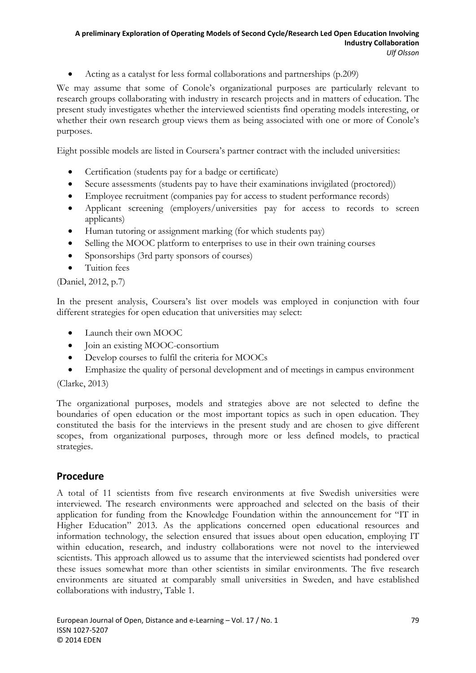Acting as a catalyst for less formal collaborations and partnerships (p.209)

We may assume that some of Conole's organizational purposes are particularly relevant to research groups collaborating with industry in research projects and in matters of education. The present study investigates whether the interviewed scientists find operating models interesting, or whether their own research group views them as being associated with one or more of Conole's purposes.

Eight possible models are listed in Coursera's partner contract with the included universities:

- Certification (students pay for a badge or certificate)
- Secure assessments (students pay to have their examinations invigilated (proctored))
- Employee recruitment (companies pay for access to student performance records)
- Applicant screening (employers/universities pay for access to records to screen applicants)
- Human tutoring or assignment marking (for which students pay)
- Selling the MOOC platform to enterprises to use in their own training courses
- Sponsorships (3rd party sponsors of courses)
- Tuition fees

### (Daniel, 2012, p.7)

In the present analysis, Coursera's list over models was employed in conjunction with four different strategies for open education that universities may select:

- Launch their own MOOC
- Join an existing MOOC-consortium
- Develop courses to fulfil the criteria for MOOCs
- Emphasize the quality of personal development and of meetings in campus environment

(Clarke, 2013)

The organizational purposes, models and strategies above are not selected to define the boundaries of open education or the most important topics as such in open education. They constituted the basis for the interviews in the present study and are chosen to give different scopes, from organizational purposes, through more or less defined models, to practical strategies.

# **Procedure**

A total of 11 scientists from five research environments at five Swedish universities were interviewed. The research environments were approached and selected on the basis of their application for funding from the Knowledge Foundation within the announcement for "IT in Higher Education" 2013. As the applications concerned open educational resources and information technology, the selection ensured that issues about open education, employing IT within education, research, and industry collaborations were not novel to the interviewed scientists. This approach allowed us to assume that the interviewed scientists had pondered over these issues somewhat more than other scientists in similar environments. The five research environments are situated at comparably small universities in Sweden, and have established collaborations with industry, Table 1.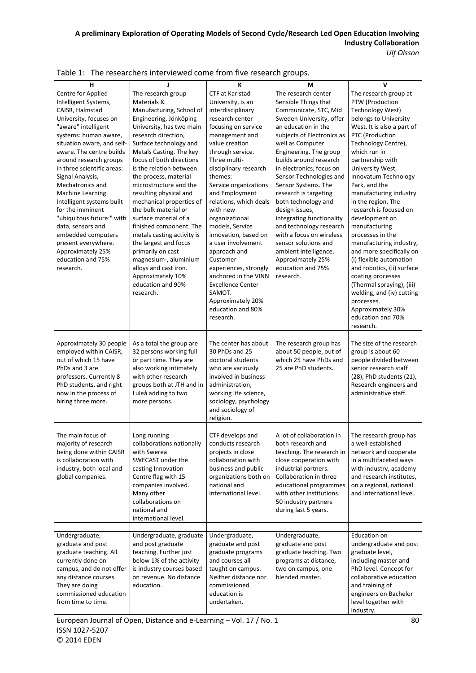| v<br>н<br>Ţ<br>K<br>M<br>Centre for Applied<br>The research group<br>CTF at Karlstad<br>The research center<br>The research group at<br>Materials &<br>Sensible Things that<br>PTW (Production<br>Intelligent Systems,<br>University, is an<br>CAISR, Halmstad<br>Communicate, STC, Mid<br>Technology West)<br>Manufacturing, School of<br>interdisciplinary<br>University, focuses on<br>Engineering, Jönköping<br>research center<br>Sweden University, offer<br>belongs to University<br>"aware" intelligent<br>University, has two main<br>focusing on service<br>an education in the<br>West. It is also a part of<br>PTC (Production<br>systems: human aware,<br>research direction,<br>management and<br>subjects of Electronics as<br>situation aware, and self-<br>value creation<br>Technology Centre),<br>Surface technology and<br>well as Computer<br>aware. The centre builds<br>Metals Casting. The key<br>through service.<br>Engineering. The group<br>which run in<br>Three multi-<br>around research groups<br>focus of both directions<br>builds around research<br>partnership with<br>is the relation between<br>in electronics, focus on<br>in three scientific areas:<br>disciplinary research<br>University West,<br>themes:<br>Signal Analysis,<br>the process, material<br>Sensor Technologies and<br>Innovatum Technology<br>Mechatronics and<br>microstructure and the<br>Service organizations<br>Sensor Systems. The<br>Park, and the<br>and Employment<br>manufacturing industry<br>Machine Learning.<br>resulting physical and<br>research is targeting<br>Intelligent systems built<br>mechanical properties of<br>relations, which deals<br>both technology and<br>in the region. The<br>for the imminent<br>the bulk material or<br>with new<br>design issues,<br>research is focused on<br>"ubiquitous future:" with<br>surface material of a<br>integrating functionality<br>development on<br>organizational<br>finished component. The<br>models, Service<br>and technology research<br>data, sensors and<br>manufacturing<br>embedded computers<br>metals casting activity is<br>innovation, based on<br>with a focus on wireless<br>processes in the<br>the largest and focus<br>a user involvement<br>sensor solutions and<br>present everywhere.<br>manufacturing industry,<br>ambient intelligence.<br>and more specifically on<br>Approximately 25%<br>primarily on cast<br>approach and<br>education and 75%<br>magnesium-, aluminium<br>Customer<br>Approximately 25%<br>(i) flexible automation<br>alloys and cast iron.<br>education and 75%<br>and robotics, (ii) surface<br>experiences, strongly<br>research.<br>Approximately 10%<br>anchored in the VINN<br>research.<br>coating processes<br>education and 90%<br><b>Excellence Center</b><br>(Thermal spraying), (iii)<br>research.<br>SAMOT.<br>welding, and (iv) cutting<br>Approximately 20%<br>processes.<br>education and 80%<br>Approximately 30%<br>education and 70%<br>research.<br>research.<br>The size of the research<br>Approximately 30 people<br>As a total the group are<br>The center has about<br>The research group has<br>employed within CAISR,<br>32 persons working full<br>30 PhDs and 25<br>about 50 people, out of<br>group is about 60<br>which 25 have PhDs and<br>out of which 15 have<br>or part time. They are<br>doctoral students<br>people divided between |
|--------------------------------------------------------------------------------------------------------------------------------------------------------------------------------------------------------------------------------------------------------------------------------------------------------------------------------------------------------------------------------------------------------------------------------------------------------------------------------------------------------------------------------------------------------------------------------------------------------------------------------------------------------------------------------------------------------------------------------------------------------------------------------------------------------------------------------------------------------------------------------------------------------------------------------------------------------------------------------------------------------------------------------------------------------------------------------------------------------------------------------------------------------------------------------------------------------------------------------------------------------------------------------------------------------------------------------------------------------------------------------------------------------------------------------------------------------------------------------------------------------------------------------------------------------------------------------------------------------------------------------------------------------------------------------------------------------------------------------------------------------------------------------------------------------------------------------------------------------------------------------------------------------------------------------------------------------------------------------------------------------------------------------------------------------------------------------------------------------------------------------------------------------------------------------------------------------------------------------------------------------------------------------------------------------------------------------------------------------------------------------------------------------------------------------------------------------------------------------------------------------------------------------------------------------------------------------------------------------------------------------------------------------------------------------------------------------------------------------------------------------------------------------------------------------------------------------------------------------------------------------------------------------------------------------------------------------------------------------------------------------------------------------------------------------------------------------------------------------------------------------------------------------------------------------------------------------------------------------------------------------------------------------------------------------------------------------------------------------------------------------------------------------|
|                                                                                                                                                                                                                                                                                                                                                                                                                                                                                                                                                                                                                                                                                                                                                                                                                                                                                                                                                                                                                                                                                                                                                                                                                                                                                                                                                                                                                                                                                                                                                                                                                                                                                                                                                                                                                                                                                                                                                                                                                                                                                                                                                                                                                                                                                                                                                                                                                                                                                                                                                                                                                                                                                                                                                                                                                                                                                                                                                                                                                                                                                                                                                                                                                                                                                                                                                                                                        |
|                                                                                                                                                                                                                                                                                                                                                                                                                                                                                                                                                                                                                                                                                                                                                                                                                                                                                                                                                                                                                                                                                                                                                                                                                                                                                                                                                                                                                                                                                                                                                                                                                                                                                                                                                                                                                                                                                                                                                                                                                                                                                                                                                                                                                                                                                                                                                                                                                                                                                                                                                                                                                                                                                                                                                                                                                                                                                                                                                                                                                                                                                                                                                                                                                                                                                                                                                                                                        |
|                                                                                                                                                                                                                                                                                                                                                                                                                                                                                                                                                                                                                                                                                                                                                                                                                                                                                                                                                                                                                                                                                                                                                                                                                                                                                                                                                                                                                                                                                                                                                                                                                                                                                                                                                                                                                                                                                                                                                                                                                                                                                                                                                                                                                                                                                                                                                                                                                                                                                                                                                                                                                                                                                                                                                                                                                                                                                                                                                                                                                                                                                                                                                                                                                                                                                                                                                                                                        |
|                                                                                                                                                                                                                                                                                                                                                                                                                                                                                                                                                                                                                                                                                                                                                                                                                                                                                                                                                                                                                                                                                                                                                                                                                                                                                                                                                                                                                                                                                                                                                                                                                                                                                                                                                                                                                                                                                                                                                                                                                                                                                                                                                                                                                                                                                                                                                                                                                                                                                                                                                                                                                                                                                                                                                                                                                                                                                                                                                                                                                                                                                                                                                                                                                                                                                                                                                                                                        |
|                                                                                                                                                                                                                                                                                                                                                                                                                                                                                                                                                                                                                                                                                                                                                                                                                                                                                                                                                                                                                                                                                                                                                                                                                                                                                                                                                                                                                                                                                                                                                                                                                                                                                                                                                                                                                                                                                                                                                                                                                                                                                                                                                                                                                                                                                                                                                                                                                                                                                                                                                                                                                                                                                                                                                                                                                                                                                                                                                                                                                                                                                                                                                                                                                                                                                                                                                                                                        |
|                                                                                                                                                                                                                                                                                                                                                                                                                                                                                                                                                                                                                                                                                                                                                                                                                                                                                                                                                                                                                                                                                                                                                                                                                                                                                                                                                                                                                                                                                                                                                                                                                                                                                                                                                                                                                                                                                                                                                                                                                                                                                                                                                                                                                                                                                                                                                                                                                                                                                                                                                                                                                                                                                                                                                                                                                                                                                                                                                                                                                                                                                                                                                                                                                                                                                                                                                                                                        |
|                                                                                                                                                                                                                                                                                                                                                                                                                                                                                                                                                                                                                                                                                                                                                                                                                                                                                                                                                                                                                                                                                                                                                                                                                                                                                                                                                                                                                                                                                                                                                                                                                                                                                                                                                                                                                                                                                                                                                                                                                                                                                                                                                                                                                                                                                                                                                                                                                                                                                                                                                                                                                                                                                                                                                                                                                                                                                                                                                                                                                                                                                                                                                                                                                                                                                                                                                                                                        |
|                                                                                                                                                                                                                                                                                                                                                                                                                                                                                                                                                                                                                                                                                                                                                                                                                                                                                                                                                                                                                                                                                                                                                                                                                                                                                                                                                                                                                                                                                                                                                                                                                                                                                                                                                                                                                                                                                                                                                                                                                                                                                                                                                                                                                                                                                                                                                                                                                                                                                                                                                                                                                                                                                                                                                                                                                                                                                                                                                                                                                                                                                                                                                                                                                                                                                                                                                                                                        |
|                                                                                                                                                                                                                                                                                                                                                                                                                                                                                                                                                                                                                                                                                                                                                                                                                                                                                                                                                                                                                                                                                                                                                                                                                                                                                                                                                                                                                                                                                                                                                                                                                                                                                                                                                                                                                                                                                                                                                                                                                                                                                                                                                                                                                                                                                                                                                                                                                                                                                                                                                                                                                                                                                                                                                                                                                                                                                                                                                                                                                                                                                                                                                                                                                                                                                                                                                                                                        |
|                                                                                                                                                                                                                                                                                                                                                                                                                                                                                                                                                                                                                                                                                                                                                                                                                                                                                                                                                                                                                                                                                                                                                                                                                                                                                                                                                                                                                                                                                                                                                                                                                                                                                                                                                                                                                                                                                                                                                                                                                                                                                                                                                                                                                                                                                                                                                                                                                                                                                                                                                                                                                                                                                                                                                                                                                                                                                                                                                                                                                                                                                                                                                                                                                                                                                                                                                                                                        |
|                                                                                                                                                                                                                                                                                                                                                                                                                                                                                                                                                                                                                                                                                                                                                                                                                                                                                                                                                                                                                                                                                                                                                                                                                                                                                                                                                                                                                                                                                                                                                                                                                                                                                                                                                                                                                                                                                                                                                                                                                                                                                                                                                                                                                                                                                                                                                                                                                                                                                                                                                                                                                                                                                                                                                                                                                                                                                                                                                                                                                                                                                                                                                                                                                                                                                                                                                                                                        |
|                                                                                                                                                                                                                                                                                                                                                                                                                                                                                                                                                                                                                                                                                                                                                                                                                                                                                                                                                                                                                                                                                                                                                                                                                                                                                                                                                                                                                                                                                                                                                                                                                                                                                                                                                                                                                                                                                                                                                                                                                                                                                                                                                                                                                                                                                                                                                                                                                                                                                                                                                                                                                                                                                                                                                                                                                                                                                                                                                                                                                                                                                                                                                                                                                                                                                                                                                                                                        |
|                                                                                                                                                                                                                                                                                                                                                                                                                                                                                                                                                                                                                                                                                                                                                                                                                                                                                                                                                                                                                                                                                                                                                                                                                                                                                                                                                                                                                                                                                                                                                                                                                                                                                                                                                                                                                                                                                                                                                                                                                                                                                                                                                                                                                                                                                                                                                                                                                                                                                                                                                                                                                                                                                                                                                                                                                                                                                                                                                                                                                                                                                                                                                                                                                                                                                                                                                                                                        |
|                                                                                                                                                                                                                                                                                                                                                                                                                                                                                                                                                                                                                                                                                                                                                                                                                                                                                                                                                                                                                                                                                                                                                                                                                                                                                                                                                                                                                                                                                                                                                                                                                                                                                                                                                                                                                                                                                                                                                                                                                                                                                                                                                                                                                                                                                                                                                                                                                                                                                                                                                                                                                                                                                                                                                                                                                                                                                                                                                                                                                                                                                                                                                                                                                                                                                                                                                                                                        |
|                                                                                                                                                                                                                                                                                                                                                                                                                                                                                                                                                                                                                                                                                                                                                                                                                                                                                                                                                                                                                                                                                                                                                                                                                                                                                                                                                                                                                                                                                                                                                                                                                                                                                                                                                                                                                                                                                                                                                                                                                                                                                                                                                                                                                                                                                                                                                                                                                                                                                                                                                                                                                                                                                                                                                                                                                                                                                                                                                                                                                                                                                                                                                                                                                                                                                                                                                                                                        |
|                                                                                                                                                                                                                                                                                                                                                                                                                                                                                                                                                                                                                                                                                                                                                                                                                                                                                                                                                                                                                                                                                                                                                                                                                                                                                                                                                                                                                                                                                                                                                                                                                                                                                                                                                                                                                                                                                                                                                                                                                                                                                                                                                                                                                                                                                                                                                                                                                                                                                                                                                                                                                                                                                                                                                                                                                                                                                                                                                                                                                                                                                                                                                                                                                                                                                                                                                                                                        |
|                                                                                                                                                                                                                                                                                                                                                                                                                                                                                                                                                                                                                                                                                                                                                                                                                                                                                                                                                                                                                                                                                                                                                                                                                                                                                                                                                                                                                                                                                                                                                                                                                                                                                                                                                                                                                                                                                                                                                                                                                                                                                                                                                                                                                                                                                                                                                                                                                                                                                                                                                                                                                                                                                                                                                                                                                                                                                                                                                                                                                                                                                                                                                                                                                                                                                                                                                                                                        |
|                                                                                                                                                                                                                                                                                                                                                                                                                                                                                                                                                                                                                                                                                                                                                                                                                                                                                                                                                                                                                                                                                                                                                                                                                                                                                                                                                                                                                                                                                                                                                                                                                                                                                                                                                                                                                                                                                                                                                                                                                                                                                                                                                                                                                                                                                                                                                                                                                                                                                                                                                                                                                                                                                                                                                                                                                                                                                                                                                                                                                                                                                                                                                                                                                                                                                                                                                                                                        |
|                                                                                                                                                                                                                                                                                                                                                                                                                                                                                                                                                                                                                                                                                                                                                                                                                                                                                                                                                                                                                                                                                                                                                                                                                                                                                                                                                                                                                                                                                                                                                                                                                                                                                                                                                                                                                                                                                                                                                                                                                                                                                                                                                                                                                                                                                                                                                                                                                                                                                                                                                                                                                                                                                                                                                                                                                                                                                                                                                                                                                                                                                                                                                                                                                                                                                                                                                                                                        |
|                                                                                                                                                                                                                                                                                                                                                                                                                                                                                                                                                                                                                                                                                                                                                                                                                                                                                                                                                                                                                                                                                                                                                                                                                                                                                                                                                                                                                                                                                                                                                                                                                                                                                                                                                                                                                                                                                                                                                                                                                                                                                                                                                                                                                                                                                                                                                                                                                                                                                                                                                                                                                                                                                                                                                                                                                                                                                                                                                                                                                                                                                                                                                                                                                                                                                                                                                                                                        |
|                                                                                                                                                                                                                                                                                                                                                                                                                                                                                                                                                                                                                                                                                                                                                                                                                                                                                                                                                                                                                                                                                                                                                                                                                                                                                                                                                                                                                                                                                                                                                                                                                                                                                                                                                                                                                                                                                                                                                                                                                                                                                                                                                                                                                                                                                                                                                                                                                                                                                                                                                                                                                                                                                                                                                                                                                                                                                                                                                                                                                                                                                                                                                                                                                                                                                                                                                                                                        |
|                                                                                                                                                                                                                                                                                                                                                                                                                                                                                                                                                                                                                                                                                                                                                                                                                                                                                                                                                                                                                                                                                                                                                                                                                                                                                                                                                                                                                                                                                                                                                                                                                                                                                                                                                                                                                                                                                                                                                                                                                                                                                                                                                                                                                                                                                                                                                                                                                                                                                                                                                                                                                                                                                                                                                                                                                                                                                                                                                                                                                                                                                                                                                                                                                                                                                                                                                                                                        |
|                                                                                                                                                                                                                                                                                                                                                                                                                                                                                                                                                                                                                                                                                                                                                                                                                                                                                                                                                                                                                                                                                                                                                                                                                                                                                                                                                                                                                                                                                                                                                                                                                                                                                                                                                                                                                                                                                                                                                                                                                                                                                                                                                                                                                                                                                                                                                                                                                                                                                                                                                                                                                                                                                                                                                                                                                                                                                                                                                                                                                                                                                                                                                                                                                                                                                                                                                                                                        |
|                                                                                                                                                                                                                                                                                                                                                                                                                                                                                                                                                                                                                                                                                                                                                                                                                                                                                                                                                                                                                                                                                                                                                                                                                                                                                                                                                                                                                                                                                                                                                                                                                                                                                                                                                                                                                                                                                                                                                                                                                                                                                                                                                                                                                                                                                                                                                                                                                                                                                                                                                                                                                                                                                                                                                                                                                                                                                                                                                                                                                                                                                                                                                                                                                                                                                                                                                                                                        |
|                                                                                                                                                                                                                                                                                                                                                                                                                                                                                                                                                                                                                                                                                                                                                                                                                                                                                                                                                                                                                                                                                                                                                                                                                                                                                                                                                                                                                                                                                                                                                                                                                                                                                                                                                                                                                                                                                                                                                                                                                                                                                                                                                                                                                                                                                                                                                                                                                                                                                                                                                                                                                                                                                                                                                                                                                                                                                                                                                                                                                                                                                                                                                                                                                                                                                                                                                                                                        |
|                                                                                                                                                                                                                                                                                                                                                                                                                                                                                                                                                                                                                                                                                                                                                                                                                                                                                                                                                                                                                                                                                                                                                                                                                                                                                                                                                                                                                                                                                                                                                                                                                                                                                                                                                                                                                                                                                                                                                                                                                                                                                                                                                                                                                                                                                                                                                                                                                                                                                                                                                                                                                                                                                                                                                                                                                                                                                                                                                                                                                                                                                                                                                                                                                                                                                                                                                                                                        |
|                                                                                                                                                                                                                                                                                                                                                                                                                                                                                                                                                                                                                                                                                                                                                                                                                                                                                                                                                                                                                                                                                                                                                                                                                                                                                                                                                                                                                                                                                                                                                                                                                                                                                                                                                                                                                                                                                                                                                                                                                                                                                                                                                                                                                                                                                                                                                                                                                                                                                                                                                                                                                                                                                                                                                                                                                                                                                                                                                                                                                                                                                                                                                                                                                                                                                                                                                                                                        |
|                                                                                                                                                                                                                                                                                                                                                                                                                                                                                                                                                                                                                                                                                                                                                                                                                                                                                                                                                                                                                                                                                                                                                                                                                                                                                                                                                                                                                                                                                                                                                                                                                                                                                                                                                                                                                                                                                                                                                                                                                                                                                                                                                                                                                                                                                                                                                                                                                                                                                                                                                                                                                                                                                                                                                                                                                                                                                                                                                                                                                                                                                                                                                                                                                                                                                                                                                                                                        |
|                                                                                                                                                                                                                                                                                                                                                                                                                                                                                                                                                                                                                                                                                                                                                                                                                                                                                                                                                                                                                                                                                                                                                                                                                                                                                                                                                                                                                                                                                                                                                                                                                                                                                                                                                                                                                                                                                                                                                                                                                                                                                                                                                                                                                                                                                                                                                                                                                                                                                                                                                                                                                                                                                                                                                                                                                                                                                                                                                                                                                                                                                                                                                                                                                                                                                                                                                                                                        |
|                                                                                                                                                                                                                                                                                                                                                                                                                                                                                                                                                                                                                                                                                                                                                                                                                                                                                                                                                                                                                                                                                                                                                                                                                                                                                                                                                                                                                                                                                                                                                                                                                                                                                                                                                                                                                                                                                                                                                                                                                                                                                                                                                                                                                                                                                                                                                                                                                                                                                                                                                                                                                                                                                                                                                                                                                                                                                                                                                                                                                                                                                                                                                                                                                                                                                                                                                                                                        |
|                                                                                                                                                                                                                                                                                                                                                                                                                                                                                                                                                                                                                                                                                                                                                                                                                                                                                                                                                                                                                                                                                                                                                                                                                                                                                                                                                                                                                                                                                                                                                                                                                                                                                                                                                                                                                                                                                                                                                                                                                                                                                                                                                                                                                                                                                                                                                                                                                                                                                                                                                                                                                                                                                                                                                                                                                                                                                                                                                                                                                                                                                                                                                                                                                                                                                                                                                                                                        |
| also working intimately<br>25 are PhD students.<br>senior research staff<br>PhDs and 3 are<br>who are variously                                                                                                                                                                                                                                                                                                                                                                                                                                                                                                                                                                                                                                                                                                                                                                                                                                                                                                                                                                                                                                                                                                                                                                                                                                                                                                                                                                                                                                                                                                                                                                                                                                                                                                                                                                                                                                                                                                                                                                                                                                                                                                                                                                                                                                                                                                                                                                                                                                                                                                                                                                                                                                                                                                                                                                                                                                                                                                                                                                                                                                                                                                                                                                                                                                                                                        |
| professors. Currently 8<br>with other research<br>involved in business<br>(28), PhD students (21),                                                                                                                                                                                                                                                                                                                                                                                                                                                                                                                                                                                                                                                                                                                                                                                                                                                                                                                                                                                                                                                                                                                                                                                                                                                                                                                                                                                                                                                                                                                                                                                                                                                                                                                                                                                                                                                                                                                                                                                                                                                                                                                                                                                                                                                                                                                                                                                                                                                                                                                                                                                                                                                                                                                                                                                                                                                                                                                                                                                                                                                                                                                                                                                                                                                                                                     |
| PhD students, and right<br>groups both at JTH and in<br>administration,<br>Research engineers and                                                                                                                                                                                                                                                                                                                                                                                                                                                                                                                                                                                                                                                                                                                                                                                                                                                                                                                                                                                                                                                                                                                                                                                                                                                                                                                                                                                                                                                                                                                                                                                                                                                                                                                                                                                                                                                                                                                                                                                                                                                                                                                                                                                                                                                                                                                                                                                                                                                                                                                                                                                                                                                                                                                                                                                                                                                                                                                                                                                                                                                                                                                                                                                                                                                                                                      |
| now in the process of<br>Luleå adding to two<br>working life science,<br>administrative staff.                                                                                                                                                                                                                                                                                                                                                                                                                                                                                                                                                                                                                                                                                                                                                                                                                                                                                                                                                                                                                                                                                                                                                                                                                                                                                                                                                                                                                                                                                                                                                                                                                                                                                                                                                                                                                                                                                                                                                                                                                                                                                                                                                                                                                                                                                                                                                                                                                                                                                                                                                                                                                                                                                                                                                                                                                                                                                                                                                                                                                                                                                                                                                                                                                                                                                                         |
| sociology, psychology<br>hiring three more.<br>more persons.                                                                                                                                                                                                                                                                                                                                                                                                                                                                                                                                                                                                                                                                                                                                                                                                                                                                                                                                                                                                                                                                                                                                                                                                                                                                                                                                                                                                                                                                                                                                                                                                                                                                                                                                                                                                                                                                                                                                                                                                                                                                                                                                                                                                                                                                                                                                                                                                                                                                                                                                                                                                                                                                                                                                                                                                                                                                                                                                                                                                                                                                                                                                                                                                                                                                                                                                           |
| and sociology of                                                                                                                                                                                                                                                                                                                                                                                                                                                                                                                                                                                                                                                                                                                                                                                                                                                                                                                                                                                                                                                                                                                                                                                                                                                                                                                                                                                                                                                                                                                                                                                                                                                                                                                                                                                                                                                                                                                                                                                                                                                                                                                                                                                                                                                                                                                                                                                                                                                                                                                                                                                                                                                                                                                                                                                                                                                                                                                                                                                                                                                                                                                                                                                                                                                                                                                                                                                       |
| religion.                                                                                                                                                                                                                                                                                                                                                                                                                                                                                                                                                                                                                                                                                                                                                                                                                                                                                                                                                                                                                                                                                                                                                                                                                                                                                                                                                                                                                                                                                                                                                                                                                                                                                                                                                                                                                                                                                                                                                                                                                                                                                                                                                                                                                                                                                                                                                                                                                                                                                                                                                                                                                                                                                                                                                                                                                                                                                                                                                                                                                                                                                                                                                                                                                                                                                                                                                                                              |
| The research group has<br>The main focus of<br>CTF develops and<br>A lot of collaboration in<br>Long running                                                                                                                                                                                                                                                                                                                                                                                                                                                                                                                                                                                                                                                                                                                                                                                                                                                                                                                                                                                                                                                                                                                                                                                                                                                                                                                                                                                                                                                                                                                                                                                                                                                                                                                                                                                                                                                                                                                                                                                                                                                                                                                                                                                                                                                                                                                                                                                                                                                                                                                                                                                                                                                                                                                                                                                                                                                                                                                                                                                                                                                                                                                                                                                                                                                                                           |
| majority of research<br>collaborations nationally<br>conducts research<br>a well-established<br>both research and                                                                                                                                                                                                                                                                                                                                                                                                                                                                                                                                                                                                                                                                                                                                                                                                                                                                                                                                                                                                                                                                                                                                                                                                                                                                                                                                                                                                                                                                                                                                                                                                                                                                                                                                                                                                                                                                                                                                                                                                                                                                                                                                                                                                                                                                                                                                                                                                                                                                                                                                                                                                                                                                                                                                                                                                                                                                                                                                                                                                                                                                                                                                                                                                                                                                                      |
| being done within CAISR<br>network and cooperate<br>with Swerea<br>projects in close<br>teaching. The research in                                                                                                                                                                                                                                                                                                                                                                                                                                                                                                                                                                                                                                                                                                                                                                                                                                                                                                                                                                                                                                                                                                                                                                                                                                                                                                                                                                                                                                                                                                                                                                                                                                                                                                                                                                                                                                                                                                                                                                                                                                                                                                                                                                                                                                                                                                                                                                                                                                                                                                                                                                                                                                                                                                                                                                                                                                                                                                                                                                                                                                                                                                                                                                                                                                                                                      |
| is collaboration with<br>SWECAST under the<br>collaboration with<br>close cooperation with<br>in a multifaceted ways                                                                                                                                                                                                                                                                                                                                                                                                                                                                                                                                                                                                                                                                                                                                                                                                                                                                                                                                                                                                                                                                                                                                                                                                                                                                                                                                                                                                                                                                                                                                                                                                                                                                                                                                                                                                                                                                                                                                                                                                                                                                                                                                                                                                                                                                                                                                                                                                                                                                                                                                                                                                                                                                                                                                                                                                                                                                                                                                                                                                                                                                                                                                                                                                                                                                                   |
| business and public<br>industry, both local and<br>casting Innovation<br>industrial partners.<br>with industry, academy                                                                                                                                                                                                                                                                                                                                                                                                                                                                                                                                                                                                                                                                                                                                                                                                                                                                                                                                                                                                                                                                                                                                                                                                                                                                                                                                                                                                                                                                                                                                                                                                                                                                                                                                                                                                                                                                                                                                                                                                                                                                                                                                                                                                                                                                                                                                                                                                                                                                                                                                                                                                                                                                                                                                                                                                                                                                                                                                                                                                                                                                                                                                                                                                                                                                                |
| Collaboration in three<br>and research institutes,<br>global companies.<br>Centre flag with 15<br>organizations both on                                                                                                                                                                                                                                                                                                                                                                                                                                                                                                                                                                                                                                                                                                                                                                                                                                                                                                                                                                                                                                                                                                                                                                                                                                                                                                                                                                                                                                                                                                                                                                                                                                                                                                                                                                                                                                                                                                                                                                                                                                                                                                                                                                                                                                                                                                                                                                                                                                                                                                                                                                                                                                                                                                                                                                                                                                                                                                                                                                                                                                                                                                                                                                                                                                                                                |
| national and<br>companies involved.<br>educational programmes<br>on a regional, national                                                                                                                                                                                                                                                                                                                                                                                                                                                                                                                                                                                                                                                                                                                                                                                                                                                                                                                                                                                                                                                                                                                                                                                                                                                                                                                                                                                                                                                                                                                                                                                                                                                                                                                                                                                                                                                                                                                                                                                                                                                                                                                                                                                                                                                                                                                                                                                                                                                                                                                                                                                                                                                                                                                                                                                                                                                                                                                                                                                                                                                                                                                                                                                                                                                                                                               |
| international level.<br>and international level.<br>Many other<br>with other institutions.                                                                                                                                                                                                                                                                                                                                                                                                                                                                                                                                                                                                                                                                                                                                                                                                                                                                                                                                                                                                                                                                                                                                                                                                                                                                                                                                                                                                                                                                                                                                                                                                                                                                                                                                                                                                                                                                                                                                                                                                                                                                                                                                                                                                                                                                                                                                                                                                                                                                                                                                                                                                                                                                                                                                                                                                                                                                                                                                                                                                                                                                                                                                                                                                                                                                                                             |
| collaborations on<br>50 industry partners                                                                                                                                                                                                                                                                                                                                                                                                                                                                                                                                                                                                                                                                                                                                                                                                                                                                                                                                                                                                                                                                                                                                                                                                                                                                                                                                                                                                                                                                                                                                                                                                                                                                                                                                                                                                                                                                                                                                                                                                                                                                                                                                                                                                                                                                                                                                                                                                                                                                                                                                                                                                                                                                                                                                                                                                                                                                                                                                                                                                                                                                                                                                                                                                                                                                                                                                                              |
| national and<br>during last 5 years.                                                                                                                                                                                                                                                                                                                                                                                                                                                                                                                                                                                                                                                                                                                                                                                                                                                                                                                                                                                                                                                                                                                                                                                                                                                                                                                                                                                                                                                                                                                                                                                                                                                                                                                                                                                                                                                                                                                                                                                                                                                                                                                                                                                                                                                                                                                                                                                                                                                                                                                                                                                                                                                                                                                                                                                                                                                                                                                                                                                                                                                                                                                                                                                                                                                                                                                                                                   |
| international level.                                                                                                                                                                                                                                                                                                                                                                                                                                                                                                                                                                                                                                                                                                                                                                                                                                                                                                                                                                                                                                                                                                                                                                                                                                                                                                                                                                                                                                                                                                                                                                                                                                                                                                                                                                                                                                                                                                                                                                                                                                                                                                                                                                                                                                                                                                                                                                                                                                                                                                                                                                                                                                                                                                                                                                                                                                                                                                                                                                                                                                                                                                                                                                                                                                                                                                                                                                                   |
| Undergraduate,<br>Undergraduate, graduate<br>Undergraduate,<br>Undergraduate,<br>Education on                                                                                                                                                                                                                                                                                                                                                                                                                                                                                                                                                                                                                                                                                                                                                                                                                                                                                                                                                                                                                                                                                                                                                                                                                                                                                                                                                                                                                                                                                                                                                                                                                                                                                                                                                                                                                                                                                                                                                                                                                                                                                                                                                                                                                                                                                                                                                                                                                                                                                                                                                                                                                                                                                                                                                                                                                                                                                                                                                                                                                                                                                                                                                                                                                                                                                                          |
| graduate and post<br>and post graduate<br>graduate and post<br>graduate and post<br>undergraduate and post                                                                                                                                                                                                                                                                                                                                                                                                                                                                                                                                                                                                                                                                                                                                                                                                                                                                                                                                                                                                                                                                                                                                                                                                                                                                                                                                                                                                                                                                                                                                                                                                                                                                                                                                                                                                                                                                                                                                                                                                                                                                                                                                                                                                                                                                                                                                                                                                                                                                                                                                                                                                                                                                                                                                                                                                                                                                                                                                                                                                                                                                                                                                                                                                                                                                                             |
| teaching. Further just<br>graduate level,<br>graduate teaching. All<br>graduate programs<br>graduate teaching. Two                                                                                                                                                                                                                                                                                                                                                                                                                                                                                                                                                                                                                                                                                                                                                                                                                                                                                                                                                                                                                                                                                                                                                                                                                                                                                                                                                                                                                                                                                                                                                                                                                                                                                                                                                                                                                                                                                                                                                                                                                                                                                                                                                                                                                                                                                                                                                                                                                                                                                                                                                                                                                                                                                                                                                                                                                                                                                                                                                                                                                                                                                                                                                                                                                                                                                     |
| and courses all<br>currently done on<br>below 1% of the activity<br>programs at distance,<br>including master and                                                                                                                                                                                                                                                                                                                                                                                                                                                                                                                                                                                                                                                                                                                                                                                                                                                                                                                                                                                                                                                                                                                                                                                                                                                                                                                                                                                                                                                                                                                                                                                                                                                                                                                                                                                                                                                                                                                                                                                                                                                                                                                                                                                                                                                                                                                                                                                                                                                                                                                                                                                                                                                                                                                                                                                                                                                                                                                                                                                                                                                                                                                                                                                                                                                                                      |
| campus, and do not offer<br>is industry courses based<br>PhD level. Concept for<br>taught on campus.<br>two on campus, one                                                                                                                                                                                                                                                                                                                                                                                                                                                                                                                                                                                                                                                                                                                                                                                                                                                                                                                                                                                                                                                                                                                                                                                                                                                                                                                                                                                                                                                                                                                                                                                                                                                                                                                                                                                                                                                                                                                                                                                                                                                                                                                                                                                                                                                                                                                                                                                                                                                                                                                                                                                                                                                                                                                                                                                                                                                                                                                                                                                                                                                                                                                                                                                                                                                                             |
| on revenue. No distance<br>blended master.<br>collaborative education<br>any distance courses.<br>Neither distance nor                                                                                                                                                                                                                                                                                                                                                                                                                                                                                                                                                                                                                                                                                                                                                                                                                                                                                                                                                                                                                                                                                                                                                                                                                                                                                                                                                                                                                                                                                                                                                                                                                                                                                                                                                                                                                                                                                                                                                                                                                                                                                                                                                                                                                                                                                                                                                                                                                                                                                                                                                                                                                                                                                                                                                                                                                                                                                                                                                                                                                                                                                                                                                                                                                                                                                 |
| commissioned<br>They are doing<br>education.<br>and training of                                                                                                                                                                                                                                                                                                                                                                                                                                                                                                                                                                                                                                                                                                                                                                                                                                                                                                                                                                                                                                                                                                                                                                                                                                                                                                                                                                                                                                                                                                                                                                                                                                                                                                                                                                                                                                                                                                                                                                                                                                                                                                                                                                                                                                                                                                                                                                                                                                                                                                                                                                                                                                                                                                                                                                                                                                                                                                                                                                                                                                                                                                                                                                                                                                                                                                                                        |
| commissioned education<br>education is<br>engineers on Bachelor                                                                                                                                                                                                                                                                                                                                                                                                                                                                                                                                                                                                                                                                                                                                                                                                                                                                                                                                                                                                                                                                                                                                                                                                                                                                                                                                                                                                                                                                                                                                                                                                                                                                                                                                                                                                                                                                                                                                                                                                                                                                                                                                                                                                                                                                                                                                                                                                                                                                                                                                                                                                                                                                                                                                                                                                                                                                                                                                                                                                                                                                                                                                                                                                                                                                                                                                        |
| from time to time.<br>level together with<br>undertaken.<br>industry.                                                                                                                                                                                                                                                                                                                                                                                                                                                                                                                                                                                                                                                                                                                                                                                                                                                                                                                                                                                                                                                                                                                                                                                                                                                                                                                                                                                                                                                                                                                                                                                                                                                                                                                                                                                                                                                                                                                                                                                                                                                                                                                                                                                                                                                                                                                                                                                                                                                                                                                                                                                                                                                                                                                                                                                                                                                                                                                                                                                                                                                                                                                                                                                                                                                                                                                                  |

| Table 1: The researchers interviewed come from five research groups. |  |
|----------------------------------------------------------------------|--|
|                                                                      |  |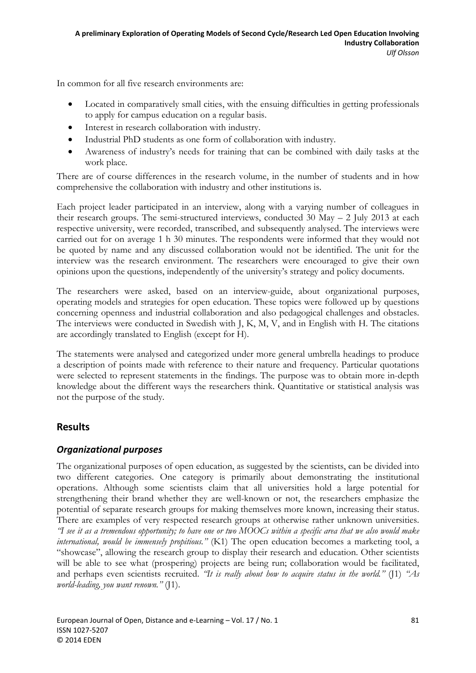In common for all five research environments are:

- Located in comparatively small cities, with the ensuing difficulties in getting professionals to apply for campus education on a regular basis.
- Interest in research collaboration with industry.
- Industrial PhD students as one form of collaboration with industry.
- Awareness of industry's needs for training that can be combined with daily tasks at the work place.

There are of course differences in the research volume, in the number of students and in how comprehensive the collaboration with industry and other institutions is.

Each project leader participated in an interview, along with a varying number of colleagues in their research groups. The semi-structured interviews, conducted  $30$  May  $-$  2 July 2013 at each respective university, were recorded, transcribed, and subsequently analysed. The interviews were carried out for on average 1 h 30 minutes. The respondents were informed that they would not be quoted by name and any discussed collaboration would not be identified. The unit for the interview was the research environment. The researchers were encouraged to give their own opinions upon the questions, independently of the university's strategy and policy documents.

The researchers were asked, based on an interview-guide, about organizational purposes, operating models and strategies for open education. These topics were followed up by questions concerning openness and industrial collaboration and also pedagogical challenges and obstacles. The interviews were conducted in Swedish with J, K, M, V, and in English with H. The citations are accordingly translated to English (except for H).

The statements were analysed and categorized under more general umbrella headings to produce a description of points made with reference to their nature and frequency. Particular quotations were selected to represent statements in the findings. The purpose was to obtain more in-depth knowledge about the different ways the researchers think. Quantitative or statistical analysis was not the purpose of the study.

# **Results**

#### *Organizational purposes*

The organizational purposes of open education, as suggested by the scientists, can be divided into two different categories. One category is primarily about demonstrating the institutional operations. Although some scientists claim that all universities hold a large potential for strengthening their brand whether they are well-known or not, the researchers emphasize the potential of separate research groups for making themselves more known, increasing their status. There are examples of very respected research groups at otherwise rather unknown universities. *"I see it as a tremendous opportunity; to have one or two MOOCs within a specific area that we also would make international, would be immensely propitious."* (K1) The open education becomes a marketing tool, a "showcase", allowing the research group to display their research and education. Other scientists will be able to see what (prospering) projects are being run; collaboration would be facilitated, and perhaps even scientists recruited. *"It is really about how to acquire status in the world."* (J1) *"As world-leading, you want renown."* (J1).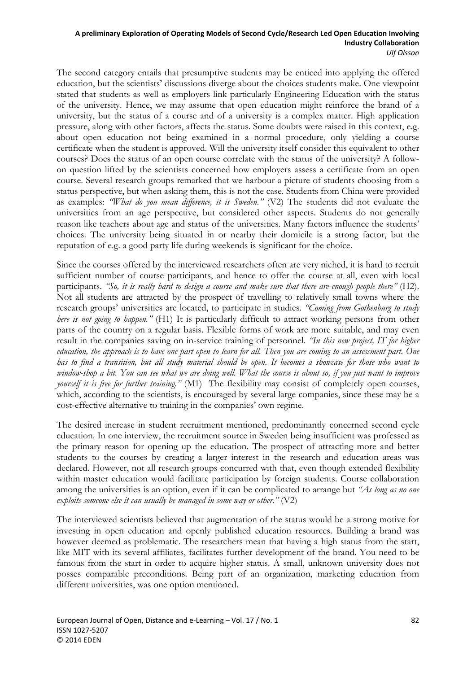The second category entails that presumptive students may be enticed into applying the offered education, but the scientists' discussions diverge about the choices students make. One viewpoint stated that students as well as employers link particularly Engineering Education with the status of the university. Hence, we may assume that open education might reinforce the brand of a university, but the status of a course and of a university is a complex matter. High application pressure, along with other factors, affects the status. Some doubts were raised in this context, e.g. about open education not being examined in a normal procedure, only yielding a course certificate when the student is approved. Will the university itself consider this equivalent to other courses? Does the status of an open course correlate with the status of the university? A followon question lifted by the scientists concerned how employers assess a certificate from an open course. Several research groups remarked that we harbour a picture of students choosing from a status perspective, but when asking them, this is not the case. Students from China were provided as examples: *"What do you mean difference, it is Sweden."* (V2) The students did not evaluate the universities from an age perspective, but considered other aspects. Students do not generally reason like teachers about age and status of the universities. Many factors influence the students' choices. The university being situated in or nearby their domicile is a strong factor, but the reputation of e.g. a good party life during weekends is significant for the choice.

Since the courses offered by the interviewed researchers often are very niched, it is hard to recruit sufficient number of course participants, and hence to offer the course at all, even with local participants. *"So, it is really hard to design a course and make sure that there are enough people there"* (H2). Not all students are attracted by the prospect of travelling to relatively small towns where the research groups' universities are located, to participate in studies. *"Coming from Gothenburg to study here is not going to happen."* (H1) It is particularly difficult to attract working persons from other parts of the country on a regular basis. Flexible forms of work are more suitable, and may even result in the companies saving on in-service training of personnel. *"In this new project, IT for higher education, the approach is to have one part open to learn for all. Then you are coming to an assessment part. One has to find a transition, but all study material should be open. It becomes a showcase for those who want to*  window-shop a bit. You can see what we are doing well. What the course is about so, if you just want to improve *yourself it is free for further training."* (M1) The flexibility may consist of completely open courses, which, according to the scientists, is encouraged by several large companies, since these may be a cost-effective alternative to training in the companies' own regime.

The desired increase in student recruitment mentioned, predominantly concerned second cycle education. In one interview, the recruitment source in Sweden being insufficient was professed as the primary reason for opening up the education. The prospect of attracting more and better students to the courses by creating a larger interest in the research and education areas was declared. However, not all research groups concurred with that, even though extended flexibility within master education would facilitate participation by foreign students. Course collaboration among the universities is an option, even if it can be complicated to arrange but *"As long as no one exploits someone else it can usually be managed in some way or other."* (V2)

The interviewed scientists believed that augmentation of the status would be a strong motive for investing in open education and openly published education resources. Building a brand was however deemed as problematic. The researchers mean that having a high status from the start, like MIT with its several affiliates, facilitates further development of the brand. You need to be famous from the start in order to acquire higher status. A small, unknown university does not posses comparable preconditions. Being part of an organization, marketing education from different universities, was one option mentioned.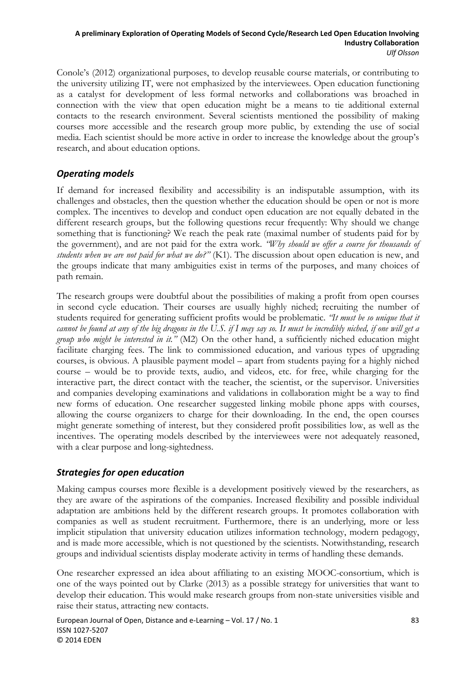Conole's (2012) organizational purposes, to develop reusable course materials, or contributing to the university utilizing IT, were not emphasized by the interviewees. Open education functioning as a catalyst for development of less formal networks and collaborations was broached in connection with the view that open education might be a means to tie additional external contacts to the research environment. Several scientists mentioned the possibility of making courses more accessible and the research group more public, by extending the use of social media. Each scientist should be more active in order to increase the knowledge about the group's research, and about education options.

### *Operating models*

If demand for increased flexibility and accessibility is an indisputable assumption, with its challenges and obstacles, then the question whether the education should be open or not is more complex. The incentives to develop and conduct open education are not equally debated in the different research groups, but the following questions recur frequently: Why should we change something that is functioning? We reach the peak rate (maximal number of students paid for by the government), and are not paid for the extra work. *"Why should we offer a course for thousands of students when we are not paid for what we do?"* (K1). The discussion about open education is new, and the groups indicate that many ambiguities exist in terms of the purposes, and many choices of path remain.

The research groups were doubtful about the possibilities of making a profit from open courses in second cycle education. Their courses are usually highly niched; recruiting the number of students required for generating sufficient profits would be problematic. *"It must be so unique that it cannot be found at any of the big dragons in the U.S. if I may say so. It must be incredibly niched, if one will get a group who might be interested in it."* (M2) On the other hand, a sufficiently niched education might facilitate charging fees. The link to commissioned education, and various types of upgrading courses, is obvious. A plausible payment model – apart from students paying for a highly niched course – would be to provide texts, audio, and videos, etc. for free, while charging for the interactive part, the direct contact with the teacher, the scientist, or the supervisor. Universities and companies developing examinations and validations in collaboration might be a way to find new forms of education. One researcher suggested linking mobile phone apps with courses, allowing the course organizers to charge for their downloading. In the end, the open courses might generate something of interest, but they considered profit possibilities low, as well as the incentives. The operating models described by the interviewees were not adequately reasoned, with a clear purpose and long-sightedness.

### *Strategies for open education*

Making campus courses more flexible is a development positively viewed by the researchers, as they are aware of the aspirations of the companies. Increased flexibility and possible individual adaptation are ambitions held by the different research groups. It promotes collaboration with companies as well as student recruitment. Furthermore, there is an underlying, more or less implicit stipulation that university education utilizes information technology, modern pedagogy, and is made more accessible, which is not questioned by the scientists. Notwithstanding, research groups and individual scientists display moderate activity in terms of handling these demands.

One researcher expressed an idea about affiliating to an existing MOOC-consortium, which is one of the ways pointed out by Clarke (2013) as a possible strategy for universities that want to develop their education. This would make research groups from non-state universities visible and raise their status, attracting new contacts.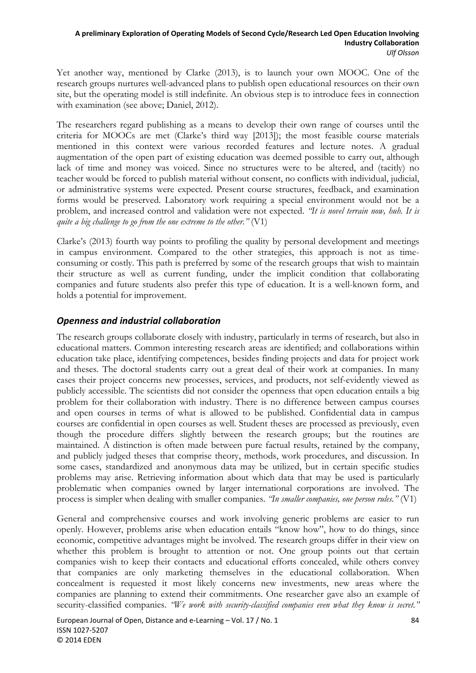Yet another way, mentioned by Clarke (2013), is to launch your own MOOC. One of the research groups nurtures well-advanced plans to publish open educational resources on their own site, but the operating model is still indefinite. An obvious step is to introduce fees in connection with examination (see above; Daniel, 2012).

The researchers regard publishing as a means to develop their own range of courses until the criteria for MOOCs are met (Clarke's third way [2013]); the most feasible course materials mentioned in this context were various recorded features and lecture notes. A gradual augmentation of the open part of existing education was deemed possible to carry out, although lack of time and money was voiced. Since no structures were to be altered, and (tacitly) no teacher would be forced to publish material without consent, no conflicts with individual, judicial, or administrative systems were expected. Present course structures, feedback, and examination forms would be preserved. Laboratory work requiring a special environment would not be a problem, and increased control and validation were not expected. *"It is novel terrain now, huh. It is quite a big challenge to go from the one extreme to the other."* (V1)

Clarke's (2013) fourth way points to profiling the quality by personal development and meetings in campus environment. Compared to the other strategies, this approach is not as timeconsuming or costly. This path is preferred by some of the research groups that wish to maintain their structure as well as current funding, under the implicit condition that collaborating companies and future students also prefer this type of education. It is a well-known form, and holds a potential for improvement.

### *Openness and industrial collaboration*

The research groups collaborate closely with industry, particularly in terms of research, but also in educational matters. Common interesting research areas are identified; and collaborations within education take place, identifying competences, besides finding projects and data for project work and theses. The doctoral students carry out a great deal of their work at companies. In many cases their project concerns new processes, services, and products, not self-evidently viewed as publicly accessible. The scientists did not consider the openness that open education entails a big problem for their collaboration with industry. There is no difference between campus courses and open courses in terms of what is allowed to be published. Confidential data in campus courses are confidential in open courses as well. Student theses are processed as previously, even though the procedure differs slightly between the research groups; but the routines are maintained. A distinction is often made between pure factual results, retained by the company, and publicly judged theses that comprise theory, methods, work procedures, and discussion. In some cases, standardized and anonymous data may be utilized, but in certain specific studies problems may arise. Retrieving information about which data that may be used is particularly problematic when companies owned by larger international corporations are involved. The process is simpler when dealing with smaller companies. *"In smaller companies, one person rules."* (V1)

General and comprehensive courses and work involving generic problems are easier to run openly. However, problems arise when education entails "know how", how to do things, since economic, competitive advantages might be involved. The research groups differ in their view on whether this problem is brought to attention or not. One group points out that certain companies wish to keep their contacts and educational efforts concealed, while others convey that companies are only marketing themselves in the educational collaboration. When concealment is requested it most likely concerns new investments, new areas where the companies are planning to extend their commitments. One researcher gave also an example of security-classified companies. *"We work with security-classified companies even what they know is secret."*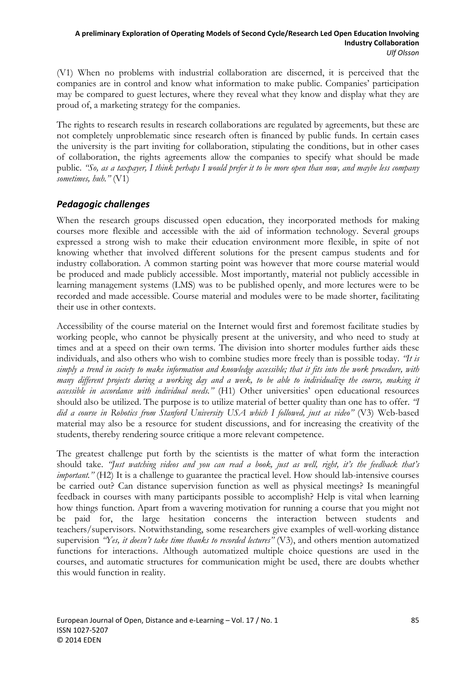(V1) When no problems with industrial collaboration are discerned, it is perceived that the companies are in control and know what information to make public. Companies' participation may be compared to guest lectures, where they reveal what they know and display what they are proud of, a marketing strategy for the companies.

The rights to research results in research collaborations are regulated by agreements, but these are not completely unproblematic since research often is financed by public funds. In certain cases the university is the part inviting for collaboration, stipulating the conditions, but in other cases of collaboration, the rights agreements allow the companies to specify what should be made public. *"So, as a taxpayer, I think perhaps I would prefer it to be more open than now, and maybe less company sometimes, huh."* (V1)

### *Pedagogic challenges*

When the research groups discussed open education, they incorporated methods for making courses more flexible and accessible with the aid of information technology. Several groups expressed a strong wish to make their education environment more flexible, in spite of not knowing whether that involved different solutions for the present campus students and for industry collaboration. A common starting point was however that more course material would be produced and made publicly accessible. Most importantly, material not publicly accessible in learning management systems (LMS) was to be published openly, and more lectures were to be recorded and made accessible. Course material and modules were to be made shorter, facilitating their use in other contexts.

Accessibility of the course material on the Internet would first and foremost facilitate studies by working people, who cannot be physically present at the university, and who need to study at times and at a speed on their own terms. The division into shorter modules further aids these individuals, and also others who wish to combine studies more freely than is possible today. *"It is simply a trend in society to make information and knowledge accessible; that it fits into the work procedure, with many different projects during a working day and a week, to be able to individualize the course, making it accessible in accordance with individual needs."* (H1) Other universities' open educational resources should also be utilized. The purpose is to utilize material of better quality than one has to offer. *"I did a course in Robotics from Stanford University USA which I followed, just as video"* (V3) Web-based material may also be a resource for student discussions, and for increasing the creativity of the students, thereby rendering source critique a more relevant competence.

The greatest challenge put forth by the scientists is the matter of what form the interaction should take. *"Just watching videos and you can read a book, just as well, right, it's the feedback that's important.*" (H2) It is a challenge to guarantee the practical level. How should lab-intensive courses be carried out? Can distance supervision function as well as physical meetings? Is meaningful feedback in courses with many participants possible to accomplish? Help is vital when learning how things function. Apart from a wavering motivation for running a course that you might not be paid for, the large hesitation concerns the interaction between students and teachers/supervisors. Notwithstanding, some researchers give examples of well-working distance supervision *"Yes, it doesn't take time thanks to recorded lectures"* (V3), and others mention automatized functions for interactions. Although automatized multiple choice questions are used in the courses, and automatic structures for communication might be used, there are doubts whether this would function in reality.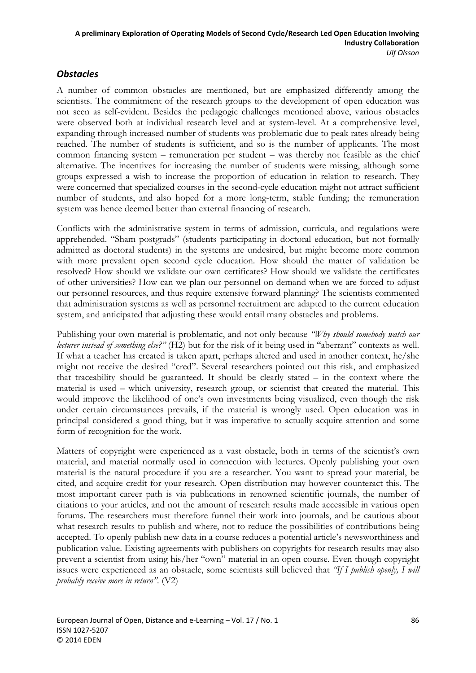### *Obstacles*

A number of common obstacles are mentioned, but are emphasized differently among the scientists. The commitment of the research groups to the development of open education was not seen as self-evident. Besides the pedagogic challenges mentioned above, various obstacles were observed both at individual research level and at system-level. At a comprehensive level, expanding through increased number of students was problematic due to peak rates already being reached. The number of students is sufficient, and so is the number of applicants. The most common financing system – remuneration per student – was thereby not feasible as the chief alternative. The incentives for increasing the number of students were missing, although some groups expressed a wish to increase the proportion of education in relation to research. They were concerned that specialized courses in the second-cycle education might not attract sufficient number of students, and also hoped for a more long-term, stable funding; the remuneration system was hence deemed better than external financing of research.

Conflicts with the administrative system in terms of admission, curricula, and regulations were apprehended. "Sham postgrads" (students participating in doctoral education, but not formally admitted as doctoral students) in the systems are undesired, but might become more common with more prevalent open second cycle education. How should the matter of validation be resolved? How should we validate our own certificates? How should we validate the certificates of other universities? How can we plan our personnel on demand when we are forced to adjust our personnel resources, and thus require extensive forward planning? The scientists commented that administration systems as well as personnel recruitment are adapted to the current education system, and anticipated that adjusting these would entail many obstacles and problems.

Publishing your own material is problematic, and not only because *"Why should somebody watch our lecturer instead of something else?"* (H2) but for the risk of it being used in "aberrant" contexts as well. If what a teacher has created is taken apart, perhaps altered and used in another context, he/she might not receive the desired "cred". Several researchers pointed out this risk, and emphasized that traceability should be guaranteed. It should be clearly stated – in the context where the material is used – which university, research group, or scientist that created the material. This would improve the likelihood of one's own investments being visualized, even though the risk under certain circumstances prevails, if the material is wrongly used. Open education was in principal considered a good thing, but it was imperative to actually acquire attention and some form of recognition for the work.

Matters of copyright were experienced as a vast obstacle, both in terms of the scientist's own material, and material normally used in connection with lectures. Openly publishing your own material is the natural procedure if you are a researcher. You want to spread your material, be cited, and acquire credit for your research. Open distribution may however counteract this. The most important career path is via publications in renowned scientific journals, the number of citations to your articles, and not the amount of research results made accessible in various open forums. The researchers must therefore funnel their work into journals, and be cautious about what research results to publish and where, not to reduce the possibilities of contributions being accepted. To openly publish new data in a course reduces a potential article's newsworthiness and publication value. Existing agreements with publishers on copyrights for research results may also prevent a scientist from using his/her "own" material in an open course. Even though copyright issues were experienced as an obstacle, some scientists still believed that *"If I publish openly, I will probably receive more in return".* (V2)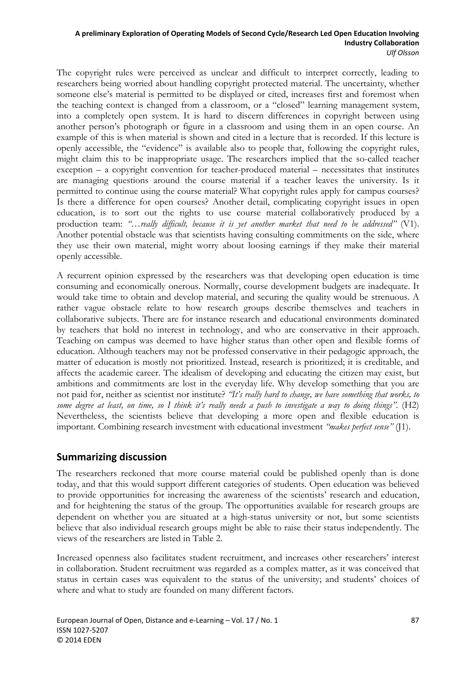The copyright rules were perceived as unclear and difficult to interpret correctly, leading to researchers being worried about handling copyright protected material. The uncertainty, whether someone else's material is permitted to be displayed or cited, increases first and foremost when the teaching context is changed from a classroom, or a "closed" learning management system, into a completely open system. It is hard to discern differences in copyright between using another person's photograph or figure in a classroom and using them in an open course. An example of this is when material is shown and cited in a lecture that is recorded. If this lecture is openly accessible, the "evidence" is available also to people that, following the copyright rules, might claim this to be inappropriate usage. The researchers implied that the so-called teacher exception – a copyright convention for teacher-produced material – necessitates that institutes are managing questions around the course material if a teacher leaves the university. Is it permitted to continue using the course material? What copyright rules apply for campus courses? Is there a difference for open courses? Another detail, complicating copyright issues in open education, is to sort out the rights to use course material collaboratively produced by a production team: "...*really difficult, because it is yet another market that need to be addressed*" (V1). Another potential obstacle was that scientists having consulting commitments on the side, where they use their own material, might worry about loosing earnings if they make their material openly accessible.

A recurrent opinion expressed by the researchers was that developing open education is time consuming and economically onerous. Normally, course development budgets are inadequate. It would take time to obtain and develop material, and securing the quality would be strenuous. A rather vague obstacle relate to how research groups describe themselves and teachers in collaborative subjects. There are for instance research and educational environments dominated by teachers that hold no interest in technology, and who are conservative in their approach. Teaching on campus was deemed to have higher status than other open and flexible forms of education. Although teachers may not be professed conservative in their pedagogic approach, the matter of education is mostly not prioritized. Instead, research is prioritized; it is creditable, and affects the academic career. The idealism of developing and educating the citizen may exist, but ambitions and commitments are lost in the everyday life. Why develop something that you are not paid for, neither as scientist nor institute? *"It's really hard to change, we have something that works, to some degree at least, on time, so I think it's really needs a push to investigate a way to doing things".* (H2) Nevertheless, the scientists believe that developing a more open and flexible education is important. Combining research investment with educational investment *"makes perfect sense"* (J1).

### **Summarizing discussion**

The researchers reckoned that more course material could be published openly than is done today, and that this would support different categories of students. Open education was believed to provide opportunities for increasing the awareness of the scientists' research and education, and for heightening the status of the group. The opportunities available for research groups are dependent on whether you are situated at a high-status university or not, but some scientists believe that also individual research groups might be able to raise their status independently. The views of the researchers are listed in Table 2.

Increased openness also facilitates student recruitment, and increases other researchers' interest in collaboration. Student recruitment was regarded as a complex matter, as it was conceived that status in certain cases was equivalent to the status of the university; and students' choices of where and what to study are founded on many different factors.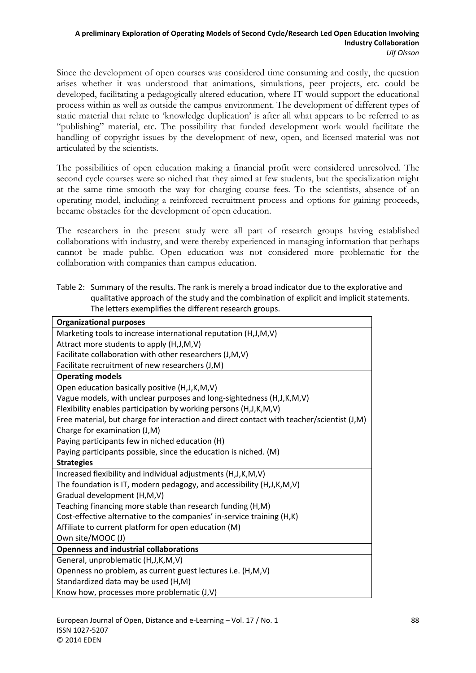Since the development of open courses was considered time consuming and costly, the question arises whether it was understood that animations, simulations, peer projects, etc. could be developed, facilitating a pedagogically altered education, where IT would support the educational process within as well as outside the campus environment. The development of different types of static material that relate to 'knowledge duplication' is after all what appears to be referred to as "publishing" material, etc. The possibility that funded development work would facilitate the handling of copyright issues by the development of new, open, and licensed material was not articulated by the scientists.

The possibilities of open education making a financial profit were considered unresolved. The second cycle courses were so niched that they aimed at few students, but the specialization might at the same time smooth the way for charging course fees. To the scientists, absence of an operating model, including a reinforced recruitment process and options for gaining proceeds, became obstacles for the development of open education.

The researchers in the present study were all part of research groups having established collaborations with industry, and were thereby experienced in managing information that perhaps cannot be made public. Open education was not considered more problematic for the collaboration with companies than campus education.

Table 2: Summary of the results. The rank is merely a broad indicator due to the explorative and qualitative approach of the study and the combination of explicit and implicit statements. The letters exemplifies the different research groups.

| <b>Organizational purposes</b>                                                            |
|-------------------------------------------------------------------------------------------|
| Marketing tools to increase international reputation (H,J,M,V)                            |
| Attract more students to apply (H,J,M,V)                                                  |
| Facilitate collaboration with other researchers (J,M,V)                                   |
| Facilitate recruitment of new researchers (J,M)                                           |
| <b>Operating models</b>                                                                   |
| Open education basically positive (H,J,K,M,V)                                             |
| Vague models, with unclear purposes and long-sightedness (H,J,K,M,V)                      |
| Flexibility enables participation by working persons (H,J,K,M,V)                          |
| Free material, but charge for interaction and direct contact with teacher/scientist (J,M) |
| Charge for examination (J,M)                                                              |
| Paying participants few in niched education (H)                                           |
| Paying participants possible, since the education is niched. (M)                          |
| <b>Strategies</b>                                                                         |
| Increased flexibility and individual adjustments (H,J,K,M,V)                              |
| The foundation is IT, modern pedagogy, and accessibility (H,J,K,M,V)                      |
| Gradual development (H,M,V)                                                               |
| Teaching financing more stable than research funding (H,M)                                |
| Cost-effective alternative to the companies' in-service training (H,K)                    |
| Affiliate to current platform for open education (M)                                      |
| Own site/MOOC (J)                                                                         |
| <b>Openness and industrial collaborations</b>                                             |
| General, unproblematic (H,J,K,M,V)                                                        |
| Openness no problem, as current guest lectures i.e. (H,M,V)                               |
| Standardized data may be used (H,M)                                                       |
| Know how, processes more problematic (J,V)                                                |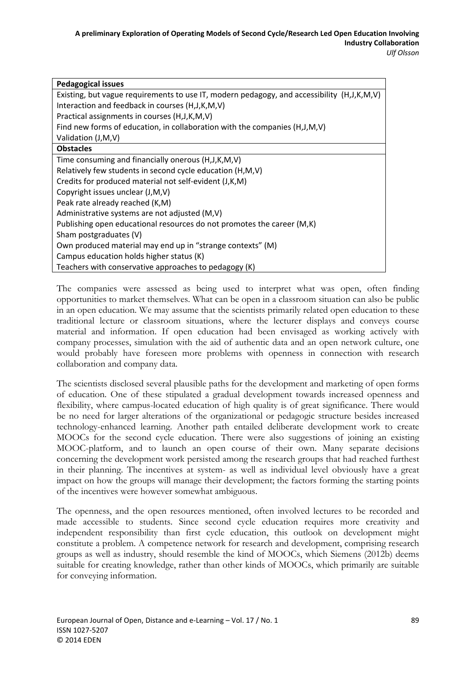| <b>Pedagogical issues</b>                                                                  |
|--------------------------------------------------------------------------------------------|
| Existing, but vague requirements to use IT, modern pedagogy, and accessibility (H,J,K,M,V) |
| Interaction and feedback in courses (H, J, K, M, V)                                        |
| Practical assignments in courses (H, J, K, M, V)                                           |
| Find new forms of education, in collaboration with the companies (H,J,M,V)                 |
| Validation (J,M,V)                                                                         |
| <b>Obstacles</b>                                                                           |
| Time consuming and financially onerous (H, J, K, M, V)                                     |
| Relatively few students in second cycle education (H,M,V)                                  |
| Credits for produced material not self-evident (J,K,M)                                     |
| Copyright issues unclear (J,M,V)                                                           |
| Peak rate already reached (K,M)                                                            |
| Administrative systems are not adjusted (M,V)                                              |
| Publishing open educational resources do not promotes the career (M,K)                     |
| Sham postgraduates (V)                                                                     |
| Own produced material may end up in "strange contexts" (M)                                 |
| Campus education holds higher status (K)                                                   |
| Teachers with conservative approaches to pedagogy (K)                                      |

The companies were assessed as being used to interpret what was open, often finding opportunities to market themselves. What can be open in a classroom situation can also be public in an open education. We may assume that the scientists primarily related open education to these traditional lecture or classroom situations, where the lecturer displays and conveys course material and information. If open education had been envisaged as working actively with company processes, simulation with the aid of authentic data and an open network culture, one would probably have foreseen more problems with openness in connection with research collaboration and company data.

The scientists disclosed several plausible paths for the development and marketing of open forms of education. One of these stipulated a gradual development towards increased openness and flexibility, where campus-located education of high quality is of great significance. There would be no need for larger alterations of the organizational or pedagogic structure besides increased technology-enhanced learning. Another path entailed deliberate development work to create MOOCs for the second cycle education. There were also suggestions of joining an existing MOOC-platform, and to launch an open course of their own. Many separate decisions concerning the development work persisted among the research groups that had reached furthest in their planning. The incentives at system- as well as individual level obviously have a great impact on how the groups will manage their development; the factors forming the starting points of the incentives were however somewhat ambiguous.

The openness, and the open resources mentioned, often involved lectures to be recorded and made accessible to students. Since second cycle education requires more creativity and independent responsibility than first cycle education, this outlook on development might constitute a problem. A competence network for research and development, comprising research groups as well as industry, should resemble the kind of MOOCs, which Siemens (2012b) deems suitable for creating knowledge, rather than other kinds of MOOCs, which primarily are suitable for conveying information.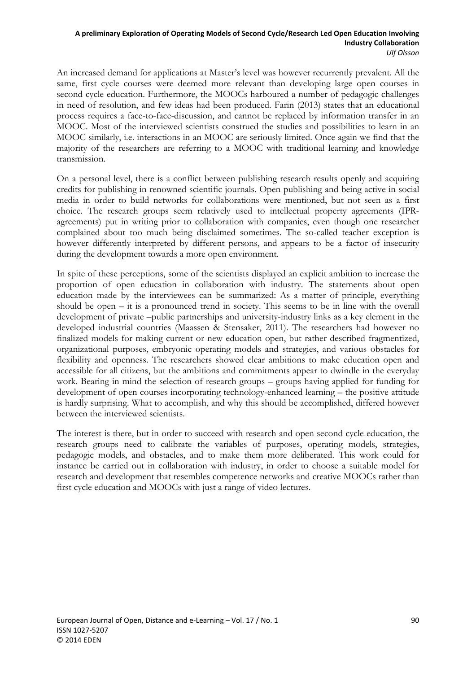An increased demand for applications at Master's level was however recurrently prevalent. All the same, first cycle courses were deemed more relevant than developing large open courses in second cycle education. Furthermore, the MOOCs harboured a number of pedagogic challenges in need of resolution, and few ideas had been produced. Farin (2013) states that an educational process requires a face-to-face-discussion, and cannot be replaced by information transfer in an MOOC. Most of the interviewed scientists construed the studies and possibilities to learn in an MOOC similarly, i.e. interactions in an MOOC are seriously limited. Once again we find that the majority of the researchers are referring to a MOOC with traditional learning and knowledge transmission.

On a personal level, there is a conflict between publishing research results openly and acquiring credits for publishing in renowned scientific journals. Open publishing and being active in social media in order to build networks for collaborations were mentioned, but not seen as a first choice. The research groups seem relatively used to intellectual property agreements (IPRagreements) put in writing prior to collaboration with companies, even though one researcher complained about too much being disclaimed sometimes. The so-called teacher exception is however differently interpreted by different persons, and appears to be a factor of insecurity during the development towards a more open environment.

In spite of these perceptions, some of the scientists displayed an explicit ambition to increase the proportion of open education in collaboration with industry. The statements about open education made by the interviewees can be summarized: As a matter of principle, everything should be open – it is a pronounced trend in society. This seems to be in line with the overall development of private –public partnerships and university-industry links as a key element in the developed industrial countries (Maassen & Stensaker, 2011). The researchers had however no finalized models for making current or new education open, but rather described fragmentized, organizational purposes, embryonic operating models and strategies, and various obstacles for flexibility and openness. The researchers showed clear ambitions to make education open and accessible for all citizens, but the ambitions and commitments appear to dwindle in the everyday work. Bearing in mind the selection of research groups – groups having applied for funding for development of open courses incorporating technology-enhanced learning – the positive attitude is hardly surprising. What to accomplish, and why this should be accomplished, differed however between the interviewed scientists.

The interest is there, but in order to succeed with research and open second cycle education, the research groups need to calibrate the variables of purposes, operating models, strategies, pedagogic models, and obstacles, and to make them more deliberated. This work could for instance be carried out in collaboration with industry, in order to choose a suitable model for research and development that resembles competence networks and creative MOOCs rather than first cycle education and MOOCs with just a range of video lectures.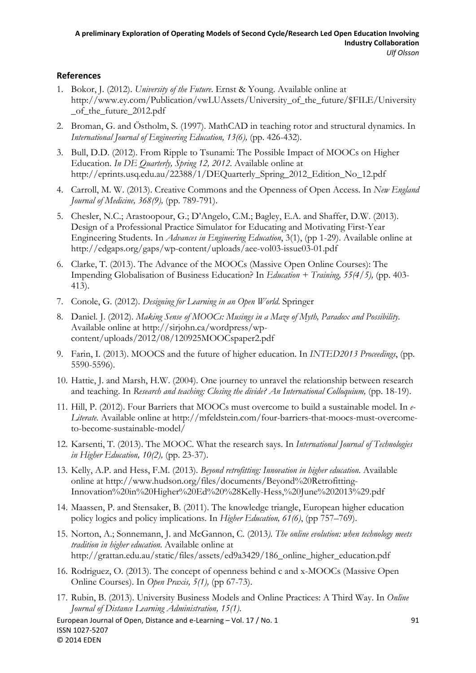#### **References**

- 1. Bokor, J. (2012). *University of the Future*. Ernst & Young. Available online at http://www.ey.com/Publication/vwLUAssets/University\_of\_the\_future/\$FILE/University \_of\_the\_future\_2012.pdf
- 2. Broman, G. and Östholm, S. (1997). MathCAD in teaching rotor and structural dynamics. In *International Journal of Engineering Education, 13(6),* (pp. 426-432).
- 3. Bull, D.D. (2012). From Ripple to Tsunami: The Possible Impact of MOOCs on Higher Education. *In DE Quarterly, Spring 12, 2012*. Available online at http://eprints.usq.edu.au/22388/1/DEQuarterly\_Spring\_2012\_Edition\_No\_12.pdf
- 4. Carroll, M. W. (2013). Creative Commons and the Openness of Open Access. In *New England Journal of Medicine, 368(9),* (pp. 789-791).
- 5. Chesler, N.C.; Arastoopour, G.; D'Angelo, C.M.; Bagley, E.A. and Shaffer, D.W. (2013). Design of a Professional Practice Simulator for Educating and Motivating First-Year Engineering Students. In *Advances in Engineering Education*, 3(1), (pp 1-29). Available online at http://edgaps.org/gaps/wp-content/uploads/aee-vol03-issue03-01.pdf
- 6. Clarke, T. (2013). The Advance of the MOOCs (Massive Open Online Courses): The Impending Globalisation of Business Education? In *Education + Training, 55(4/5),* (pp. 403- 413).
- 7. Conole, G. (2012). *Designing for Learning in an Open World*. Springer
- 8. Daniel. J. (2012). *Making Sense of MOOCs: Musings in a Maze of Myth, Paradox and Possibility.* Available online at http://sirjohn.ca/wordpress/wpcontent/uploads/2012/08/120925MOOCspaper2.pdf
- 9. Farin, I. (2013). MOOCS and the future of higher education. In *INTED2013 Proceedings*, (pp. 5590-5596).
- 10. Hattie, J. and Marsh, H.W. (2004). One journey to unravel the relationship between research and teaching. In *Research and teaching: Closing the divide? An International Colloquium,* (pp. 18-19).
- 11. Hill, P. (2012). Four Barriers that MOOCs must overcome to build a sustainable model. In *e-Literate.* Available online at http://mfeldstein.com/four-barriers-that-moocs-must-overcometo-become-sustainable-model/
- 12. Karsenti, T. (2013). The MOOC. What the research says. In *International Journal of Technologies in Higher Education, 10(2),* (pp. 23-37).
- 13. Kelly, A.P. and Hess, F.M. (2013). *Beyond retrofitting: Innovation in higher education*. Available online at http://www.hudson.org/files/documents/Beyond%20Retrofitting-Innovation%20in%20Higher%20Ed%20%28Kelly-Hess,%20June%202013%29.pdf
- 14. Maassen, P. and Stensaker, B. (2011). The knowledge triangle, European higher education policy logics and policy implications. In *Higher Education, 61(6)*, (pp 757–769).
- 15. Norton, A.; Sonnemann, J. and McGannon, C. (2013*). The online evolution: when technology meets tradition in higher education*. Available online at http://grattan.edu.au/static/files/assets/ed9a3429/186\_online\_higher\_education.pdf
- 16. Rodriguez, O. (2013). The concept of openness behind c and x-MOOCs (Massive Open Online Courses). In *Open Praxis, 5(1),* (pp 67-73).
- 17. Rubin, B. (2013). University Business Models and Online Practices: A Third Way. In *Online Journal of Distance Learning Administration, 15(1).*

European Journal of Open, Distance and e-Learning – Vol. 17 / No. 1 91 ISSN 1027‐5207 © 2014 EDEN